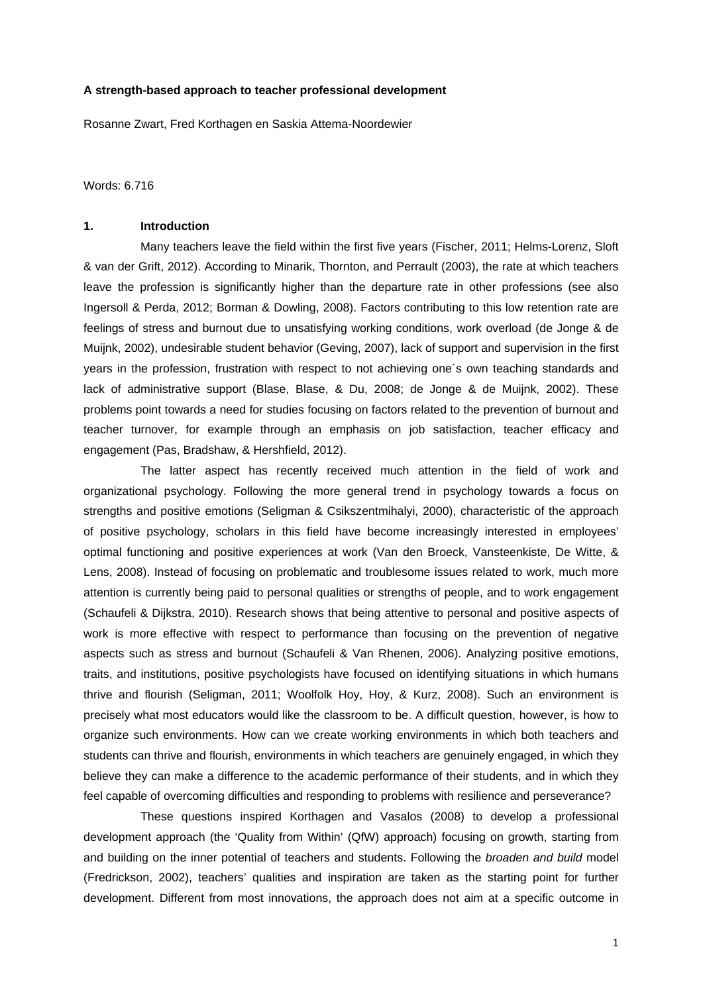#### **A strength-based approach to teacher professional development**

Rosanne Zwart, Fred Korthagen en Saskia Attema-Noordewier

Words: 6.716

## **1. Introduction**

 Many teachers leave the field within the first five years (Fischer, 2011; Helms-Lorenz, Sloft & van der Grift, 2012). According to Minarik, Thornton, and Perrault (2003), the rate at which teachers leave the profession is significantly higher than the departure rate in other professions (see also Ingersoll & Perda, 2012; Borman & Dowling, 2008). Factors contributing to this low retention rate are feelings of stress and burnout due to unsatisfying working conditions, work overload (de Jonge & de Muijnk, 2002), undesirable student behavior (Geving, 2007), lack of support and supervision in the first years in the profession, frustration with respect to not achieving one´s own teaching standards and lack of administrative support (Blase, Blase, & Du, 2008; de Jonge & de Muijnk, 2002). These problems point towards a need for studies focusing on factors related to the prevention of burnout and teacher turnover, for example through an emphasis on job satisfaction, teacher efficacy and engagement (Pas, Bradshaw, & Hershfield, 2012).

 The latter aspect has recently received much attention in the field of work and organizational psychology. Following the more general trend in psychology towards a focus on strengths and positive emotions (Seligman & Csikszentmihalyi, 2000), characteristic of the approach of positive psychology, scholars in this field have become increasingly interested in employees' optimal functioning and positive experiences at work (Van den Broeck, Vansteenkiste, De Witte, & Lens, 2008). Instead of focusing on problematic and troublesome issues related to work, much more attention is currently being paid to personal qualities or strengths of people, and to work engagement (Schaufeli & Dijkstra, 2010). Research shows that being attentive to personal and positive aspects of work is more effective with respect to performance than focusing on the prevention of negative aspects such as stress and burnout (Schaufeli & Van Rhenen, 2006). Analyzing positive emotions, traits, and institutions, positive psychologists have focused on identifying situations in which humans thrive and flourish (Seligman, 2011; Woolfolk Hoy, Hoy, & Kurz, 2008). Such an environment is precisely what most educators would like the classroom to be. A difficult question, however, is how to organize such environments. How can we create working environments in which both teachers and students can thrive and flourish, environments in which teachers are genuinely engaged, in which they believe they can make a difference to the academic performance of their students, and in which they feel capable of overcoming difficulties and responding to problems with resilience and perseverance?

 These questions inspired Korthagen and Vasalos (2008) to develop a professional development approach (the 'Quality from Within' (QfW) approach) focusing on growth, starting from and building on the inner potential of teachers and students. Following the *broaden and build* model (Fredrickson, 2002), teachers' qualities and inspiration are taken as the starting point for further development. Different from most innovations, the approach does not aim at a specific outcome in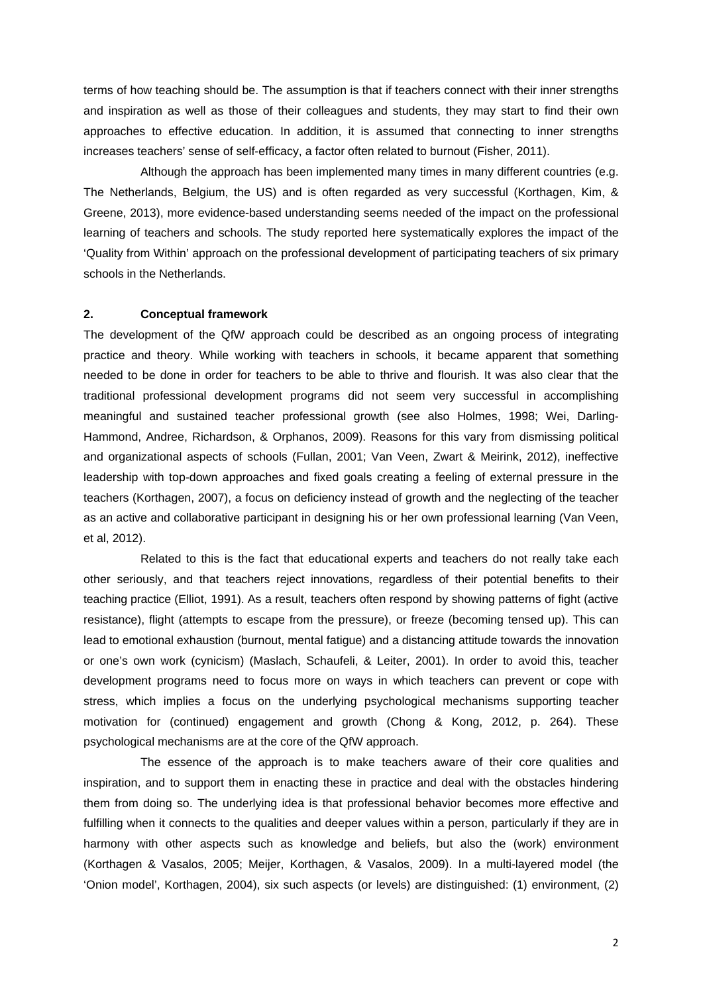terms of how teaching should be. The assumption is that if teachers connect with their inner strengths and inspiration as well as those of their colleagues and students, they may start to find their own approaches to effective education. In addition, it is assumed that connecting to inner strengths increases teachers' sense of self-efficacy, a factor often related to burnout (Fisher, 2011).

 Although the approach has been implemented many times in many different countries (e.g. The Netherlands, Belgium, the US) and is often regarded as very successful (Korthagen, Kim, & Greene, 2013), more evidence-based understanding seems needed of the impact on the professional learning of teachers and schools. The study reported here systematically explores the impact of the 'Quality from Within' approach on the professional development of participating teachers of six primary schools in the Netherlands.

#### **2. Conceptual framework**

The development of the QfW approach could be described as an ongoing process of integrating practice and theory. While working with teachers in schools, it became apparent that something needed to be done in order for teachers to be able to thrive and flourish. It was also clear that the traditional professional development programs did not seem very successful in accomplishing meaningful and sustained teacher professional growth (see also Holmes, 1998; Wei, Darling-Hammond, Andree, Richardson, & Orphanos, 2009). Reasons for this vary from dismissing political and organizational aspects of schools (Fullan, 2001; Van Veen, Zwart & Meirink, 2012), ineffective leadership with top-down approaches and fixed goals creating a feeling of external pressure in the teachers (Korthagen, 2007), a focus on deficiency instead of growth and the neglecting of the teacher as an active and collaborative participant in designing his or her own professional learning (Van Veen, et al, 2012).

 Related to this is the fact that educational experts and teachers do not really take each other seriously, and that teachers reject innovations, regardless of their potential benefits to their teaching practice (Elliot, 1991). As a result, teachers often respond by showing patterns of fight (active resistance), flight (attempts to escape from the pressure), or freeze (becoming tensed up). This can lead to emotional exhaustion (burnout, mental fatigue) and a distancing attitude towards the innovation or one's own work (cynicism) (Maslach, Schaufeli, & Leiter, 2001). In order to avoid this, teacher development programs need to focus more on ways in which teachers can prevent or cope with stress, which implies a focus on the underlying psychological mechanisms supporting teacher motivation for (continued) engagement and growth (Chong & Kong, 2012, p. 264). These psychological mechanisms are at the core of the QfW approach.

 The essence of the approach is to make teachers aware of their core qualities and inspiration, and to support them in enacting these in practice and deal with the obstacles hindering them from doing so. The underlying idea is that professional behavior becomes more effective and fulfilling when it connects to the qualities and deeper values within a person, particularly if they are in harmony with other aspects such as knowledge and beliefs, but also the (work) environment (Korthagen & Vasalos, 2005; Meijer, Korthagen, & Vasalos, 2009). In a multi-layered model (the 'Onion model', Korthagen, 2004), six such aspects (or levels) are distinguished: (1) environment, (2)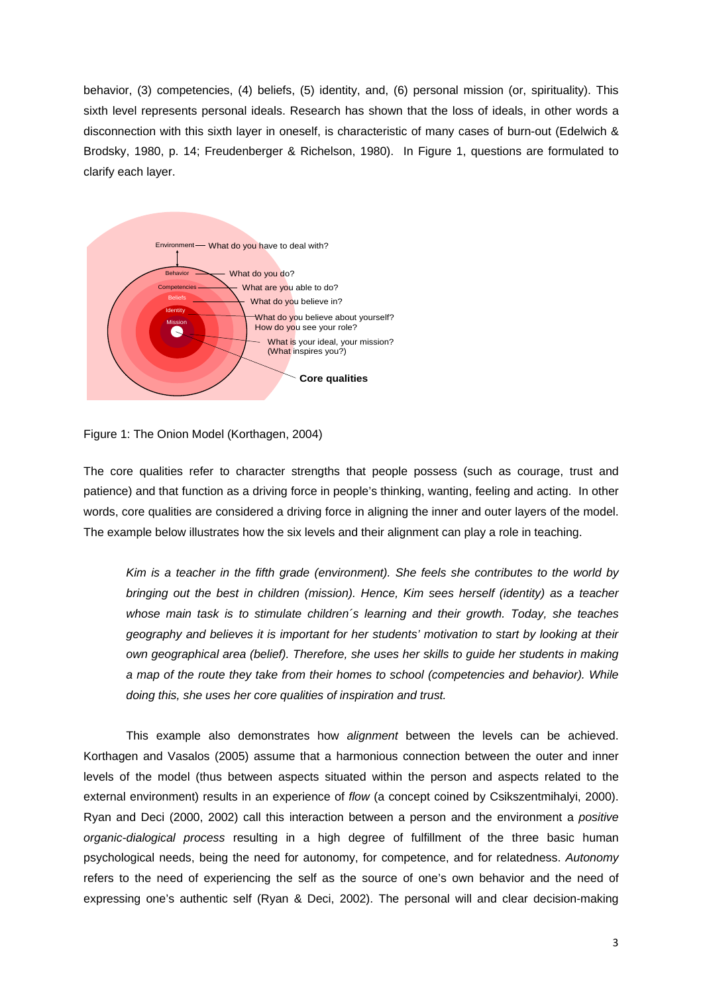behavior, (3) competencies, (4) beliefs, (5) identity, and, (6) personal mission (or, spirituality). This sixth level represents personal ideals. Research has shown that the loss of ideals, in other words a disconnection with this sixth layer in oneself, is characteristic of many cases of burn-out (Edelwich & Brodsky, 1980, p. 14; Freudenberger & Richelson, 1980). In Figure 1, questions are formulated to clarify each layer.



Figure 1: The Onion Model (Korthagen, 2004)

The core qualities refer to character strengths that people possess (such as courage, trust and patience) and that function as a driving force in people's thinking, wanting, feeling and acting. In other words, core qualities are considered a driving force in aligning the inner and outer layers of the model. The example below illustrates how the six levels and their alignment can play a role in teaching.

*Kim is a teacher in the fifth grade (environment). She feels she contributes to the world by bringing out the best in children (mission). Hence, Kim sees herself (identity) as a teacher whose main task is to stimulate children´s learning and their growth. Today, she teaches geography and believes it is important for her students' motivation to start by looking at their own geographical area (belief). Therefore, she uses her skills to guide her students in making a map of the route they take from their homes to school (competencies and behavior). While doing this, she uses her core qualities of inspiration and trust.* 

This example also demonstrates how *alignment* between the levels can be achieved. Korthagen and Vasalos (2005) assume that a harmonious connection between the outer and inner levels of the model (thus between aspects situated within the person and aspects related to the external environment) results in an experience of *flow* (a concept coined by Csikszentmihalyi, 2000). Ryan and Deci (2000, 2002) call this interaction between a person and the environment a *positive organic-dialogical process* resulting in a high degree of fulfillment of the three basic human psychological needs, being the need for autonomy, for competence, and for relatedness. *Autonomy* refers to the need of experiencing the self as the source of one's own behavior and the need of expressing one's authentic self (Ryan & Deci, 2002). The personal will and clear decision-making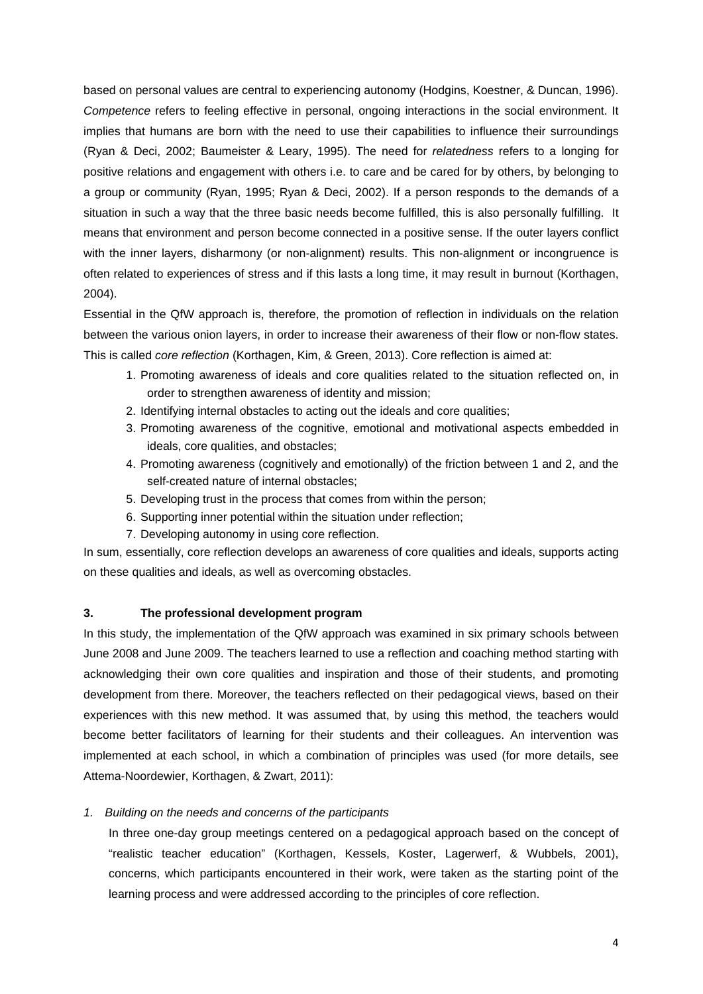based on personal values are central to experiencing autonomy (Hodgins, Koestner, & Duncan, 1996). *Competence* refers to feeling effective in personal, ongoing interactions in the social environment. It implies that humans are born with the need to use their capabilities to influence their surroundings (Ryan & Deci, 2002; Baumeister & Leary, 1995). The need for *relatedness* refers to a longing for positive relations and engagement with others i.e. to care and be cared for by others, by belonging to a group or community (Ryan, 1995; Ryan & Deci, 2002). If a person responds to the demands of a situation in such a way that the three basic needs become fulfilled, this is also personally fulfilling. It means that environment and person become connected in a positive sense. If the outer layers conflict with the inner layers, disharmony (or non-alignment) results. This non-alignment or incongruence is often related to experiences of stress and if this lasts a long time, it may result in burnout (Korthagen, 2004).

Essential in the QfW approach is, therefore, the promotion of reflection in individuals on the relation between the various onion layers, in order to increase their awareness of their flow or non-flow states. This is called *core reflection* (Korthagen, Kim, & Green, 2013). Core reflection is aimed at:

- 1. Promoting awareness of ideals and core qualities related to the situation reflected on, in order to strengthen awareness of identity and mission;
- 2. Identifying internal obstacles to acting out the ideals and core qualities;
- 3. Promoting awareness of the cognitive, emotional and motivational aspects embedded in ideals, core qualities, and obstacles;
- 4. Promoting awareness (cognitively and emotionally) of the friction between 1 and 2, and the self-created nature of internal obstacles;
- 5. Developing trust in the process that comes from within the person;
- 6. Supporting inner potential within the situation under reflection;
- 7. Developing autonomy in using core reflection.

In sum, essentially, core reflection develops an awareness of core qualities and ideals, supports acting on these qualities and ideals, as well as overcoming obstacles.

# **3. The professional development program**

In this study, the implementation of the QfW approach was examined in six primary schools between June 2008 and June 2009. The teachers learned to use a reflection and coaching method starting with acknowledging their own core qualities and inspiration and those of their students, and promoting development from there. Moreover, the teachers reflected on their pedagogical views, based on their experiences with this new method. It was assumed that, by using this method, the teachers would become better facilitators of learning for their students and their colleagues. An intervention was implemented at each school, in which a combination of principles was used (for more details, see Attema-Noordewier, Korthagen, & Zwart, 2011):

# *1. Building on the needs and concerns of the participants*

In three one-day group meetings centered on a pedagogical approach based on the concept of "realistic teacher education" (Korthagen, Kessels, Koster, Lagerwerf, & Wubbels, 2001), concerns, which participants encountered in their work, were taken as the starting point of the learning process and were addressed according to the principles of core reflection.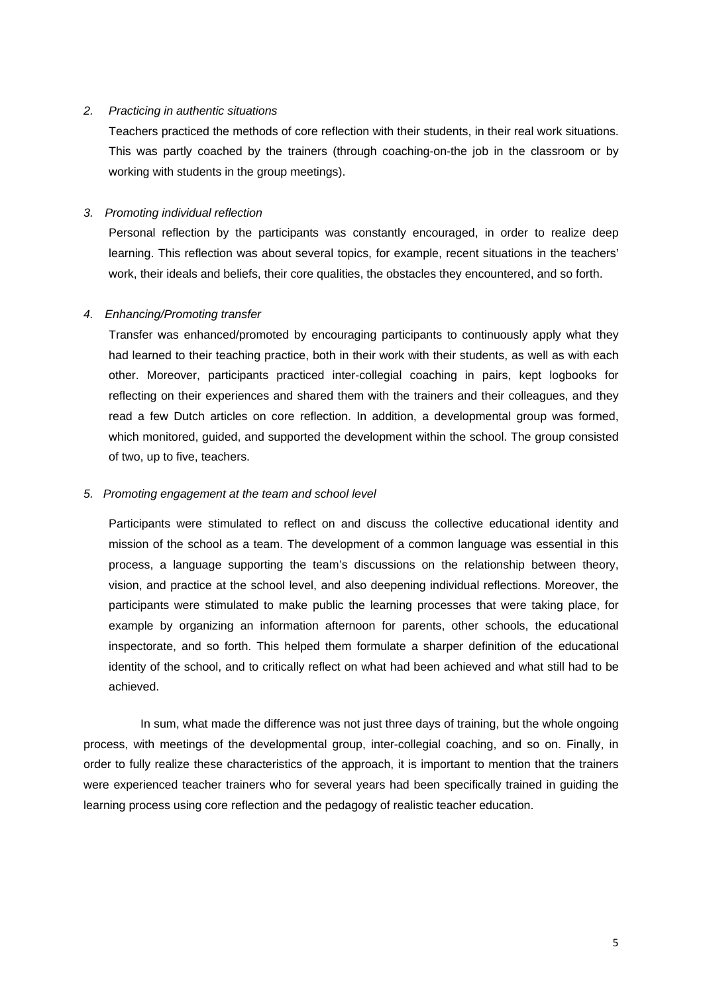## *2. Practicing in authentic situations*

Teachers practiced the methods of core reflection with their students, in their real work situations. This was partly coached by the trainers (through coaching-on-the job in the classroom or by working with students in the group meetings).

# *3. Promoting individual reflection*

Personal reflection by the participants was constantly encouraged, in order to realize deep learning. This reflection was about several topics, for example, recent situations in the teachers' work, their ideals and beliefs, their core qualities, the obstacles they encountered, and so forth.

## *4. Enhancing/Promoting transfer*

Transfer was enhanced/promoted by encouraging participants to continuously apply what they had learned to their teaching practice, both in their work with their students, as well as with each other. Moreover, participants practiced inter-collegial coaching in pairs, kept logbooks for reflecting on their experiences and shared them with the trainers and their colleagues, and they read a few Dutch articles on core reflection. In addition, a developmental group was formed, which monitored, guided, and supported the development within the school. The group consisted of two, up to five, teachers.

## *5. Promoting engagement at the team and school level*

Participants were stimulated to reflect on and discuss the collective educational identity and mission of the school as a team. The development of a common language was essential in this process, a language supporting the team's discussions on the relationship between theory, vision, and practice at the school level, and also deepening individual reflections. Moreover, the participants were stimulated to make public the learning processes that were taking place, for example by organizing an information afternoon for parents, other schools, the educational inspectorate, and so forth. This helped them formulate a sharper definition of the educational identity of the school, and to critically reflect on what had been achieved and what still had to be achieved.

 In sum, what made the difference was not just three days of training, but the whole ongoing process, with meetings of the developmental group, inter-collegial coaching, and so on. Finally, in order to fully realize these characteristics of the approach, it is important to mention that the trainers were experienced teacher trainers who for several years had been specifically trained in guiding the learning process using core reflection and the pedagogy of realistic teacher education.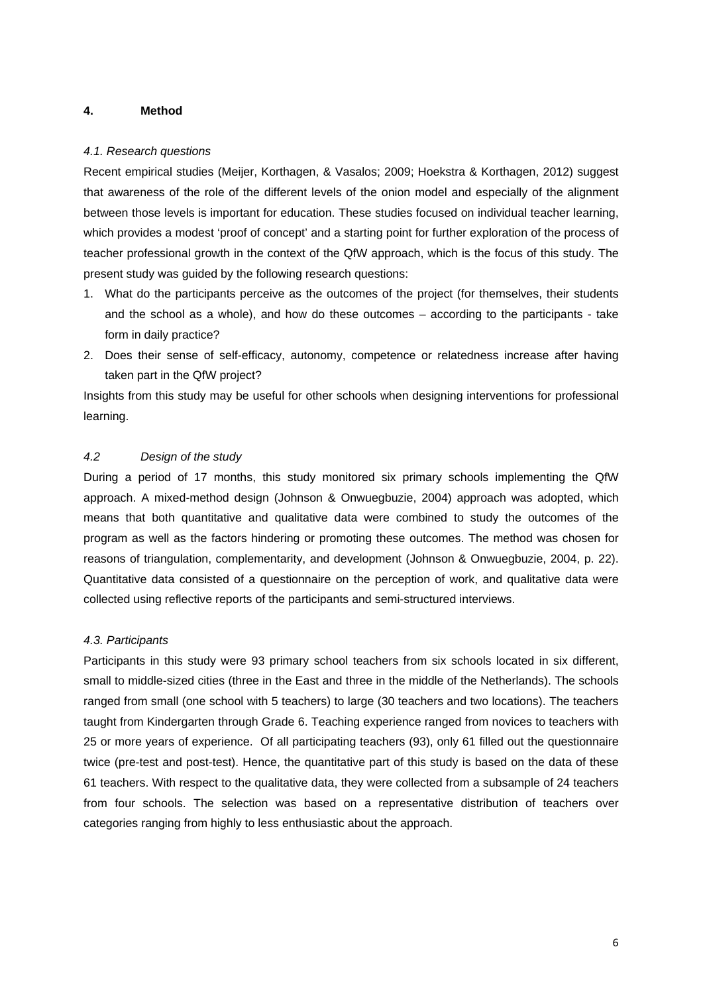## **4. Method**

#### *4.1. Research questions*

Recent empirical studies (Meijer, Korthagen, & Vasalos; 2009; Hoekstra & Korthagen, 2012) suggest that awareness of the role of the different levels of the onion model and especially of the alignment between those levels is important for education. These studies focused on individual teacher learning, which provides a modest 'proof of concept' and a starting point for further exploration of the process of teacher professional growth in the context of the QfW approach, which is the focus of this study. The present study was guided by the following research questions:

- 1. What do the participants perceive as the outcomes of the project (for themselves, their students and the school as a whole), and how do these outcomes – according to the participants - take form in daily practice?
- 2. Does their sense of self-efficacy, autonomy, competence or relatedness increase after having taken part in the QfW project?

Insights from this study may be useful for other schools when designing interventions for professional learning.

## *4.2 Design of the study*

During a period of 17 months, this study monitored six primary schools implementing the QfW approach. A mixed-method design (Johnson & Onwuegbuzie, 2004) approach was adopted, which means that both quantitative and qualitative data were combined to study the outcomes of the program as well as the factors hindering or promoting these outcomes. The method was chosen for reasons of triangulation, complementarity, and development (Johnson & Onwuegbuzie, 2004, p. 22). Quantitative data consisted of a questionnaire on the perception of work, and qualitative data were collected using reflective reports of the participants and semi-structured interviews.

### *4.3. Participants*

Participants in this study were 93 primary school teachers from six schools located in six different, small to middle-sized cities (three in the East and three in the middle of the Netherlands). The schools ranged from small (one school with 5 teachers) to large (30 teachers and two locations). The teachers taught from Kindergarten through Grade 6. Teaching experience ranged from novices to teachers with 25 or more years of experience. Of all participating teachers (93), only 61 filled out the questionnaire twice (pre-test and post-test). Hence, the quantitative part of this study is based on the data of these 61 teachers. With respect to the qualitative data, they were collected from a subsample of 24 teachers from four schools. The selection was based on a representative distribution of teachers over categories ranging from highly to less enthusiastic about the approach.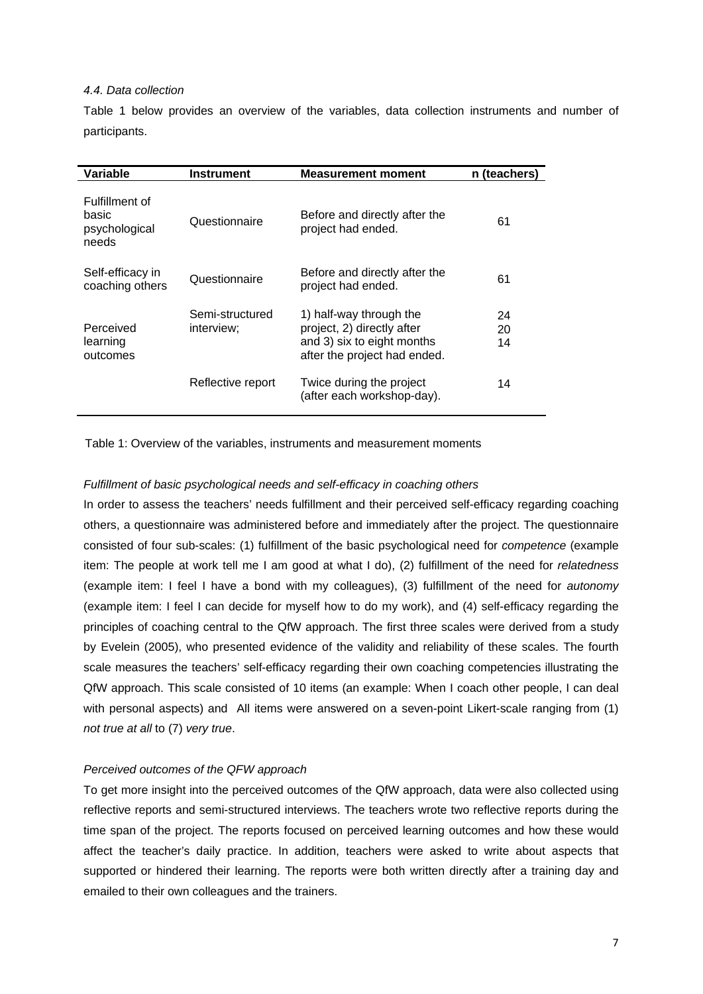### *4.4. Data collection*

Table 1 below provides an overview of the variables, data collection instruments and number of participants.

| Variable                                          | Instrument                    | <b>Measurement moment</b>                                                                                           | n (teachers)   |
|---------------------------------------------------|-------------------------------|---------------------------------------------------------------------------------------------------------------------|----------------|
| Fulfillment of<br>basic<br>psychological<br>needs | Questionnaire                 | Before and directly after the<br>project had ended.                                                                 | 61             |
| Self-efficacy in<br>coaching others               | Questionnaire                 | Before and directly after the<br>project had ended.                                                                 | 61             |
| Perceived<br>learning<br>outcomes                 | Semi-structured<br>interview; | 1) half-way through the<br>project, 2) directly after<br>and 3) six to eight months<br>after the project had ended. | 24<br>20<br>14 |
|                                                   | Reflective report             | Twice during the project<br>(after each workshop-day).                                                              | 14             |

Table 1: Overview of the variables, instruments and measurement moments

## *Fulfillment of basic psychological needs and self-efficacy in coaching others*

In order to assess the teachers' needs fulfillment and their perceived self-efficacy regarding coaching others, a questionnaire was administered before and immediately after the project. The questionnaire consisted of four sub-scales: (1) fulfillment of the basic psychological need for *competence* (example item: The people at work tell me I am good at what I do), (2) fulfillment of the need for *relatedness* (example item: I feel I have a bond with my colleagues), (3) fulfillment of the need for *autonomy*  (example item: I feel I can decide for myself how to do my work), and (4) self-efficacy regarding the principles of coaching central to the QfW approach. The first three scales were derived from a study by Evelein (2005), who presented evidence of the validity and reliability of these scales. The fourth scale measures the teachers' self-efficacy regarding their own coaching competencies illustrating the QfW approach. This scale consisted of 10 items (an example: When I coach other people, I can deal with personal aspects) and All items were answered on a seven-point Likert-scale ranging from (1) *not true at all* to (7) *very true*.

# *Perceived outcomes of the QFW approach*

To get more insight into the perceived outcomes of the QfW approach, data were also collected using reflective reports and semi-structured interviews. The teachers wrote two reflective reports during the time span of the project. The reports focused on perceived learning outcomes and how these would affect the teacher's daily practice. In addition, teachers were asked to write about aspects that supported or hindered their learning. The reports were both written directly after a training day and emailed to their own colleagues and the trainers.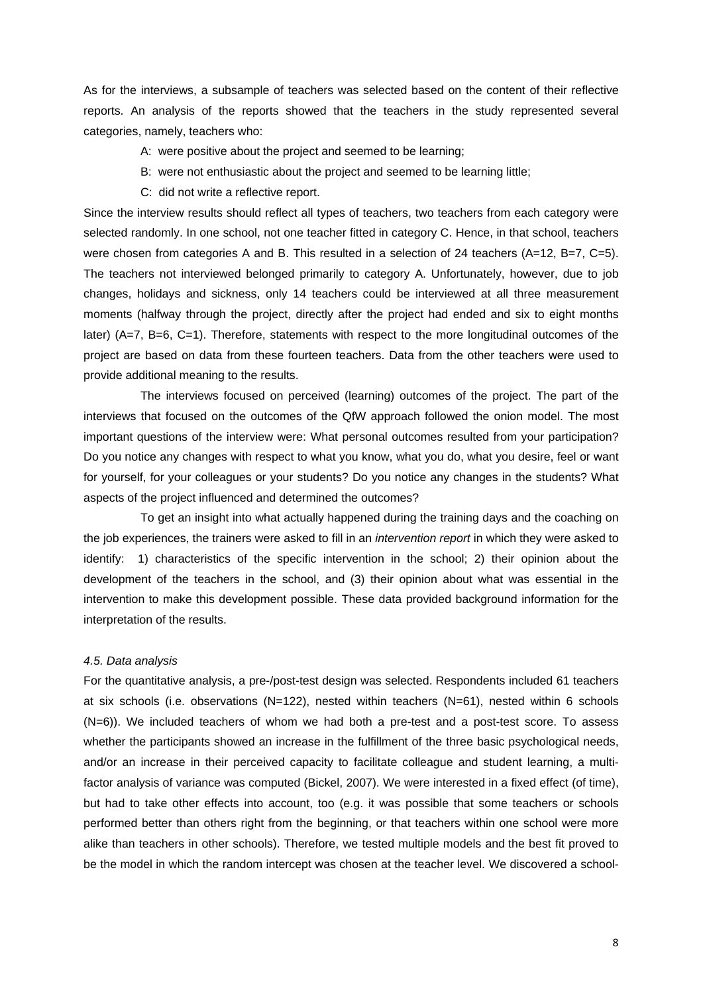As for the interviews, a subsample of teachers was selected based on the content of their reflective reports. An analysis of the reports showed that the teachers in the study represented several categories, namely, teachers who:

- A: were positive about the project and seemed to be learning;
- B: were not enthusiastic about the project and seemed to be learning little;
- C: did not write a reflective report.

Since the interview results should reflect all types of teachers, two teachers from each category were selected randomly. In one school, not one teacher fitted in category C. Hence, in that school, teachers were chosen from categories A and B. This resulted in a selection of 24 teachers (A=12, B=7, C=5). The teachers not interviewed belonged primarily to category A. Unfortunately, however, due to job changes, holidays and sickness, only 14 teachers could be interviewed at all three measurement moments (halfway through the project, directly after the project had ended and six to eight months later) (A=7, B=6, C=1). Therefore, statements with respect to the more longitudinal outcomes of the project are based on data from these fourteen teachers. Data from the other teachers were used to provide additional meaning to the results.

 The interviews focused on perceived (learning) outcomes of the project. The part of the interviews that focused on the outcomes of the QfW approach followed the onion model. The most important questions of the interview were: What personal outcomes resulted from your participation? Do you notice any changes with respect to what you know, what you do, what you desire, feel or want for yourself, for your colleagues or your students? Do you notice any changes in the students? What aspects of the project influenced and determined the outcomes?

To get an insight into what actually happened during the training days and the coaching on the job experiences, the trainers were asked to fill in an *intervention report* in which they were asked to identify: 1) characteristics of the specific intervention in the school; 2) their opinion about the development of the teachers in the school, and (3) their opinion about what was essential in the intervention to make this development possible. These data provided background information for the interpretation of the results.

#### *4.5. Data analysis*

For the quantitative analysis, a pre-/post-test design was selected. Respondents included 61 teachers at six schools (i.e. observations (N=122), nested within teachers (N=61), nested within 6 schools (N=6)). We included teachers of whom we had both a pre-test and a post-test score. To assess whether the participants showed an increase in the fulfillment of the three basic psychological needs, and/or an increase in their perceived capacity to facilitate colleague and student learning, a multifactor analysis of variance was computed (Bickel, 2007). We were interested in a fixed effect (of time), but had to take other effects into account, too (e.g. it was possible that some teachers or schools performed better than others right from the beginning, or that teachers within one school were more alike than teachers in other schools). Therefore, we tested multiple models and the best fit proved to be the model in which the random intercept was chosen at the teacher level. We discovered a school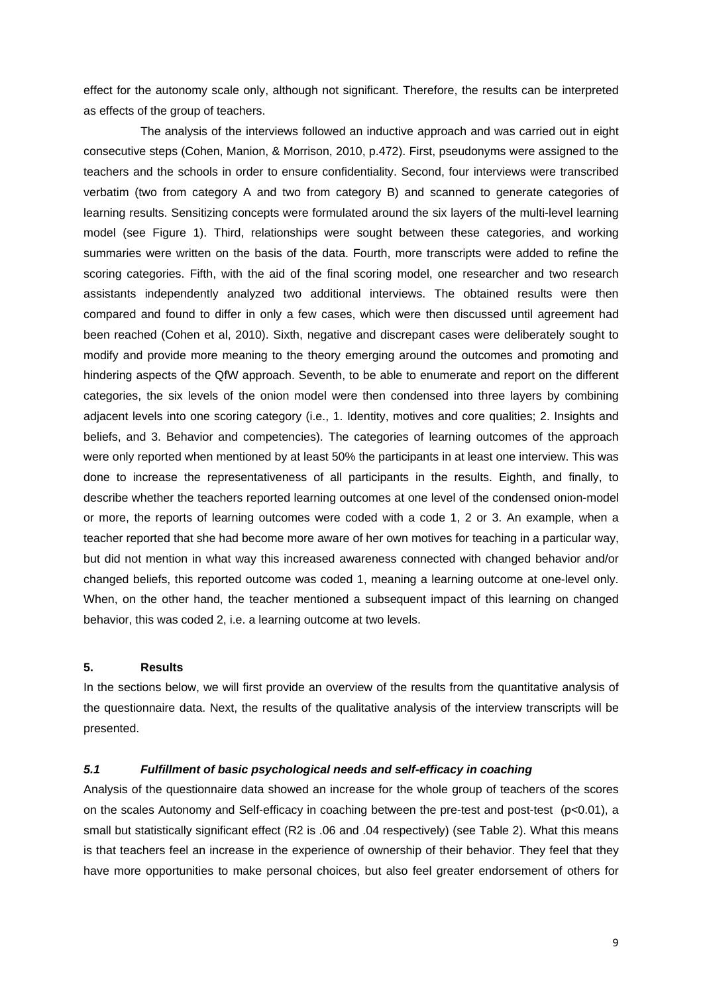effect for the autonomy scale only, although not significant. Therefore, the results can be interpreted as effects of the group of teachers.

The analysis of the interviews followed an inductive approach and was carried out in eight consecutive steps (Cohen, Manion, & Morrison, 2010, p.472). First, pseudonyms were assigned to the teachers and the schools in order to ensure confidentiality. Second, four interviews were transcribed verbatim (two from category A and two from category B) and scanned to generate categories of learning results. Sensitizing concepts were formulated around the six layers of the multi-level learning model (see Figure 1). Third, relationships were sought between these categories, and working summaries were written on the basis of the data. Fourth, more transcripts were added to refine the scoring categories. Fifth, with the aid of the final scoring model, one researcher and two research assistants independently analyzed two additional interviews. The obtained results were then compared and found to differ in only a few cases, which were then discussed until agreement had been reached (Cohen et al, 2010). Sixth, negative and discrepant cases were deliberately sought to modify and provide more meaning to the theory emerging around the outcomes and promoting and hindering aspects of the QfW approach. Seventh, to be able to enumerate and report on the different categories, the six levels of the onion model were then condensed into three layers by combining adjacent levels into one scoring category (i.e., 1. Identity, motives and core qualities; 2. Insights and beliefs, and 3. Behavior and competencies). The categories of learning outcomes of the approach were only reported when mentioned by at least 50% the participants in at least one interview. This was done to increase the representativeness of all participants in the results. Eighth, and finally, to describe whether the teachers reported learning outcomes at one level of the condensed onion-model or more, the reports of learning outcomes were coded with a code 1, 2 or 3. An example, when a teacher reported that she had become more aware of her own motives for teaching in a particular way, but did not mention in what way this increased awareness connected with changed behavior and/or changed beliefs, this reported outcome was coded 1, meaning a learning outcome at one-level only. When, on the other hand, the teacher mentioned a subsequent impact of this learning on changed behavior, this was coded 2, i.e. a learning outcome at two levels.

## **5. Results**

In the sections below, we will first provide an overview of the results from the quantitative analysis of the questionnaire data. Next, the results of the qualitative analysis of the interview transcripts will be presented.

# *5.1 Fulfillment of basic psychological needs and self-efficacy in coaching*

Analysis of the questionnaire data showed an increase for the whole group of teachers of the scores on the scales Autonomy and Self-efficacy in coaching between the pre-test and post-test (p<0.01), a small but statistically significant effect (R2 is .06 and .04 respectively) (see Table 2). What this means is that teachers feel an increase in the experience of ownership of their behavior. They feel that they have more opportunities to make personal choices, but also feel greater endorsement of others for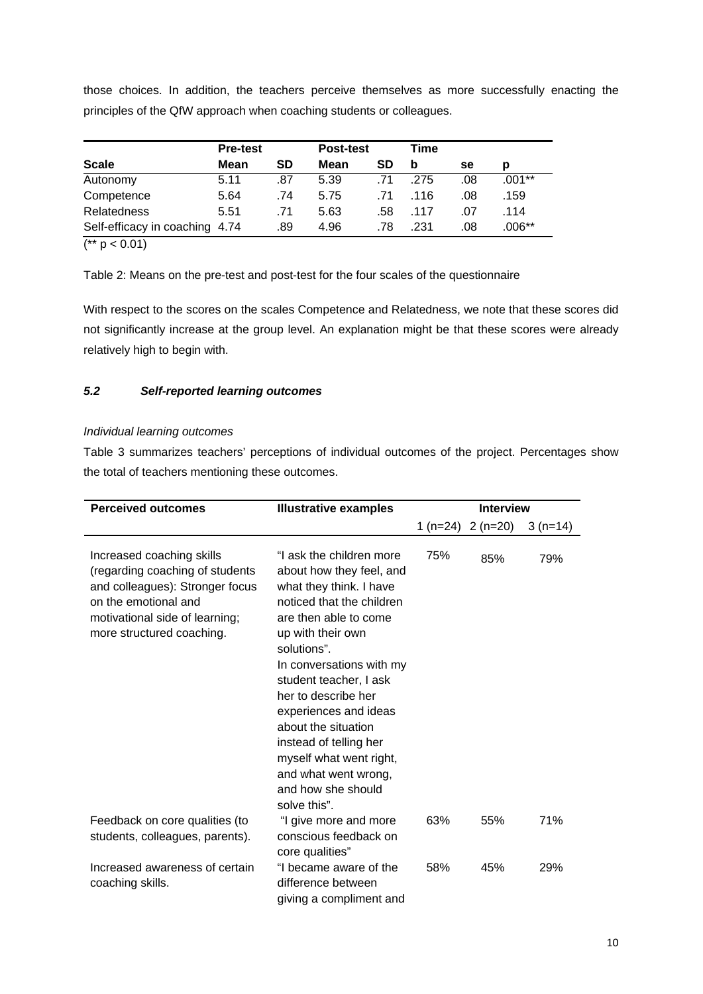those choices. In addition, the teachers perceive themselves as more successfully enacting the principles of the QfW approach when coaching students or colleagues.

|                                | <b>Pre-test</b> |     | <b>Post-test</b> |     | Time |     |          |
|--------------------------------|-----------------|-----|------------------|-----|------|-----|----------|
| <b>Scale</b>                   | Mean            | SD  | Mean             | SD  | b    | se  | D        |
| Autonomy                       | 5.11            | .87 | 5.39             | .71 | .275 | .08 | .001**   |
| Competence                     | 5.64            | .74 | 5.75             | .71 | .116 | .08 | .159     |
| <b>Relatedness</b>             | 5.51            | .71 | 5.63             | .58 | .117 | .07 | .114     |
| Self-efficacy in coaching 4.74 |                 | .89 | 4.96             | .78 | .231 | .08 | $.006**$ |

 $(* p < 0.01)$ 

Table 2: Means on the pre-test and post-test for the four scales of the questionnaire

With respect to the scores on the scales Competence and Relatedness, we note that these scores did not significantly increase at the group level. An explanation might be that these scores were already relatively high to begin with.

# *5.2 Self-reported learning outcomes*

# *Individual learning outcomes*

Table 3 summarizes teachers' perceptions of individual outcomes of the project. Percentages show the total of teachers mentioning these outcomes.

| <b>Perceived outcomes</b>                                                                                                                                                              | <b>Illustrative examples</b>                                                                                                                                                                                                                                                                                                                                                                                              | <b>Interview</b> |           |           |
|----------------------------------------------------------------------------------------------------------------------------------------------------------------------------------------|---------------------------------------------------------------------------------------------------------------------------------------------------------------------------------------------------------------------------------------------------------------------------------------------------------------------------------------------------------------------------------------------------------------------------|------------------|-----------|-----------|
|                                                                                                                                                                                        |                                                                                                                                                                                                                                                                                                                                                                                                                           | 1 (n=24)         | $2(n=20)$ | $3(n=14)$ |
| Increased coaching skills<br>(regarding coaching of students<br>and colleagues): Stronger focus<br>on the emotional and<br>motivational side of learning;<br>more structured coaching. | "I ask the children more<br>about how they feel, and<br>what they think. I have<br>noticed that the children<br>are then able to come<br>up with their own<br>solutions".<br>In conversations with my<br>student teacher, I ask<br>her to describe her<br>experiences and ideas<br>about the situation<br>instead of telling her<br>myself what went right,<br>and what went wrong,<br>and how she should<br>solve this". | 75%              | 85%       | 79%       |
| Feedback on core qualities (to<br>students, colleagues, parents).                                                                                                                      | "I give more and more<br>conscious feedback on<br>core qualities"                                                                                                                                                                                                                                                                                                                                                         | 63%              | 55%       | 71%       |
| Increased awareness of certain<br>coaching skills.                                                                                                                                     | "I became aware of the<br>difference between<br>giving a compliment and                                                                                                                                                                                                                                                                                                                                                   | 58%              | 45%       | 29%       |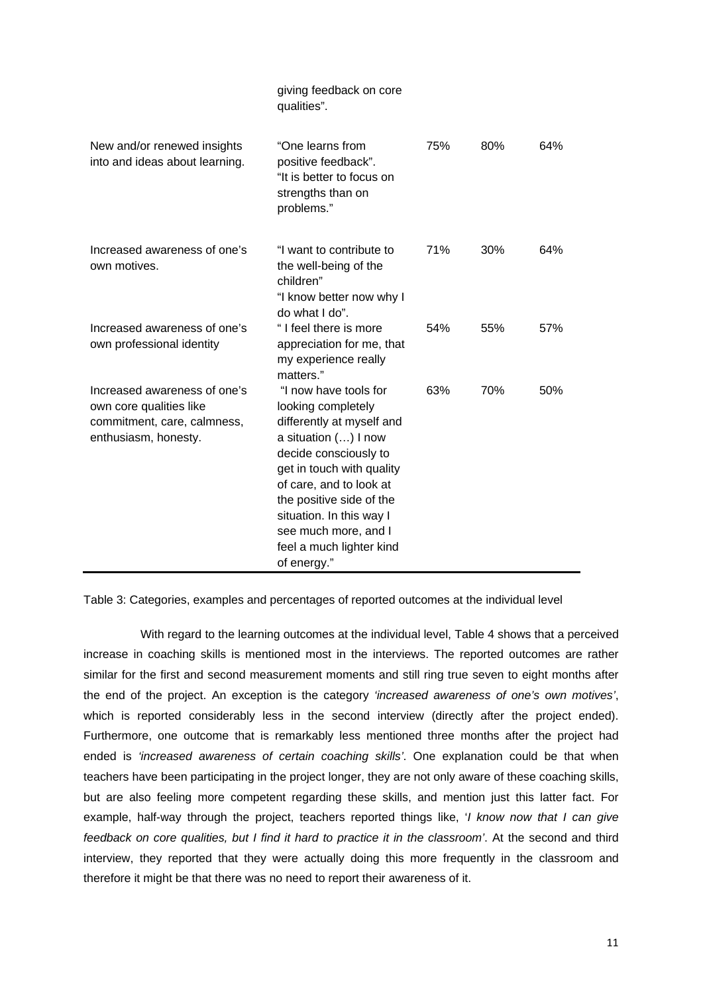|                                                                                                                | giving feedback on core<br>qualities".                                                                                                                                                                                                                                                                       |     |     |     |
|----------------------------------------------------------------------------------------------------------------|--------------------------------------------------------------------------------------------------------------------------------------------------------------------------------------------------------------------------------------------------------------------------------------------------------------|-----|-----|-----|
| New and/or renewed insights<br>into and ideas about learning.                                                  | "One learns from<br>positive feedback".<br>"It is better to focus on<br>strengths than on<br>problems."                                                                                                                                                                                                      | 75% | 80% | 64% |
| Increased awareness of one's<br>own motives.                                                                   | "I want to contribute to<br>the well-being of the<br>children"<br>"I know better now why I<br>do what I do".                                                                                                                                                                                                 | 71% | 30% | 64% |
| Increased awareness of one's<br>own professional identity                                                      | "I feel there is more<br>appreciation for me, that<br>my experience really<br>matters."                                                                                                                                                                                                                      | 54% | 55% | 57% |
| Increased awareness of one's<br>own core qualities like<br>commitment, care, calmness,<br>enthusiasm, honesty. | "I now have tools for<br>looking completely<br>differently at myself and<br>a situation () I now<br>decide consciously to<br>get in touch with quality<br>of care, and to look at<br>the positive side of the<br>situation. In this way I<br>see much more, and I<br>feel a much lighter kind<br>of energy." | 63% | 70% | 50% |

Table 3: Categories, examples and percentages of reported outcomes at the individual level

With regard to the learning outcomes at the individual level, Table 4 shows that a perceived increase in coaching skills is mentioned most in the interviews. The reported outcomes are rather similar for the first and second measurement moments and still ring true seven to eight months after the end of the project. An exception is the category *'increased awareness of one's own motives'*, which is reported considerably less in the second interview (directly after the project ended). Furthermore, one outcome that is remarkably less mentioned three months after the project had ended is *'increased awareness of certain coaching skills'*. One explanation could be that when teachers have been participating in the project longer, they are not only aware of these coaching skills, but are also feeling more competent regarding these skills, and mention just this latter fact. For example, half-way through the project, teachers reported things like, '*I know now that I can give feedback on core qualities, but I find it hard to practice it in the classroom'*. At the second and third interview, they reported that they were actually doing this more frequently in the classroom and therefore it might be that there was no need to report their awareness of it.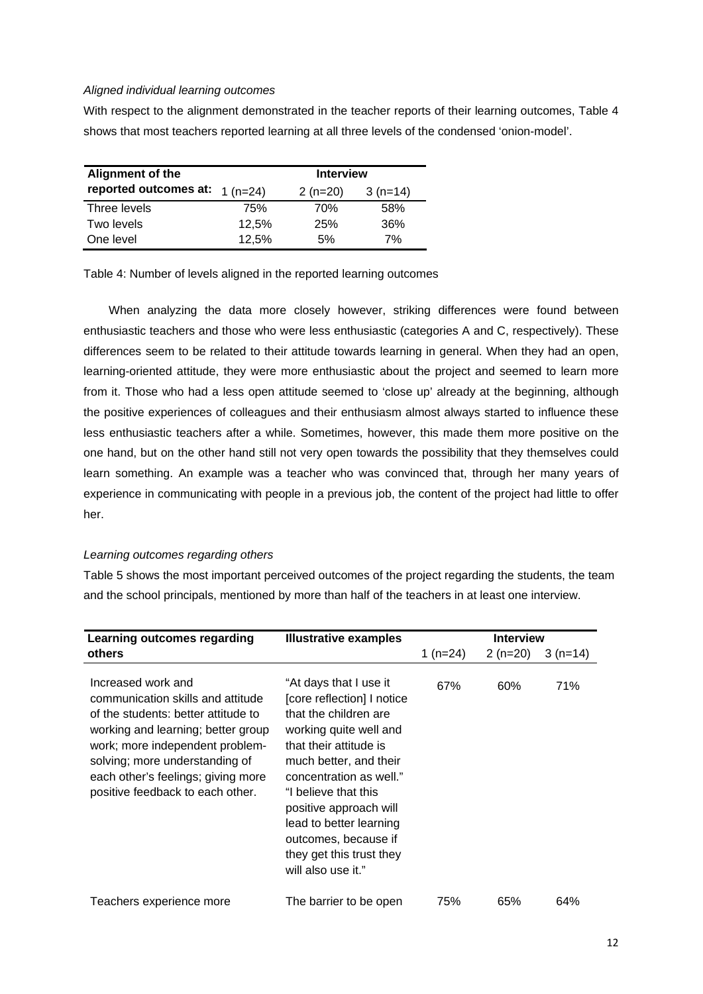## *Aligned individual learning outcomes*

With respect to the alignment demonstrated in the teacher reports of their learning outcomes, Table 4 shows that most teachers reported learning at all three levels of the condensed 'onion-model'.

| Alignment of the                | <b>Interview</b> |           |           |  |  |
|---------------------------------|------------------|-----------|-----------|--|--|
| reported outcomes at: $1(n=24)$ |                  | $2(n=20)$ | $3(n=14)$ |  |  |
| Three levels                    | 75%              | 70%       | 58%       |  |  |
| Two levels                      | 12,5%            | 25%       | 36%       |  |  |
| One level                       | 12,5%            | .5%       | 7%        |  |  |

Table 4: Number of levels aligned in the reported learning outcomes

 When analyzing the data more closely however, striking differences were found between enthusiastic teachers and those who were less enthusiastic (categories A and C, respectively). These differences seem to be related to their attitude towards learning in general. When they had an open, learning-oriented attitude, they were more enthusiastic about the project and seemed to learn more from it. Those who had a less open attitude seemed to 'close up' already at the beginning, although the positive experiences of colleagues and their enthusiasm almost always started to influence these less enthusiastic teachers after a while. Sometimes, however, this made them more positive on the one hand, but on the other hand still not very open towards the possibility that they themselves could learn something. An example was a teacher who was convinced that, through her many years of experience in communicating with people in a previous job, the content of the project had little to offer her.

### *Learning outcomes regarding others*

Table 5 shows the most important perceived outcomes of the project regarding the students, the team and the school principals, mentioned by more than half of the teachers in at least one interview.

| Learning outcomes regarding                                                                                                                                                                                                                                                         | <b>Illustrative examples</b>                                                                                                                                                                                                                                                                                                                  | <b>Interview</b> |           |           |
|-------------------------------------------------------------------------------------------------------------------------------------------------------------------------------------------------------------------------------------------------------------------------------------|-----------------------------------------------------------------------------------------------------------------------------------------------------------------------------------------------------------------------------------------------------------------------------------------------------------------------------------------------|------------------|-----------|-----------|
| others                                                                                                                                                                                                                                                                              |                                                                                                                                                                                                                                                                                                                                               | 1 (n=24)         | $2(n=20)$ | $3(n=14)$ |
| Increased work and<br>communication skills and attitude<br>of the students: better attitude to<br>working and learning; better group<br>work; more independent problem-<br>solving; more understanding of<br>each other's feelings; giving more<br>positive feedback to each other. | "At days that I use it<br>[core reflection] I notice<br>that the children are<br>working quite well and<br>that their attitude is<br>much better, and their<br>concentration as well."<br>"I believe that this<br>positive approach will<br>lead to better learning<br>outcomes, because if<br>they get this trust they<br>will also use it." | 67%              | 60%       | 71%       |
| Teachers experience more                                                                                                                                                                                                                                                            | The barrier to be open                                                                                                                                                                                                                                                                                                                        | 75%              | 65%       | 64%       |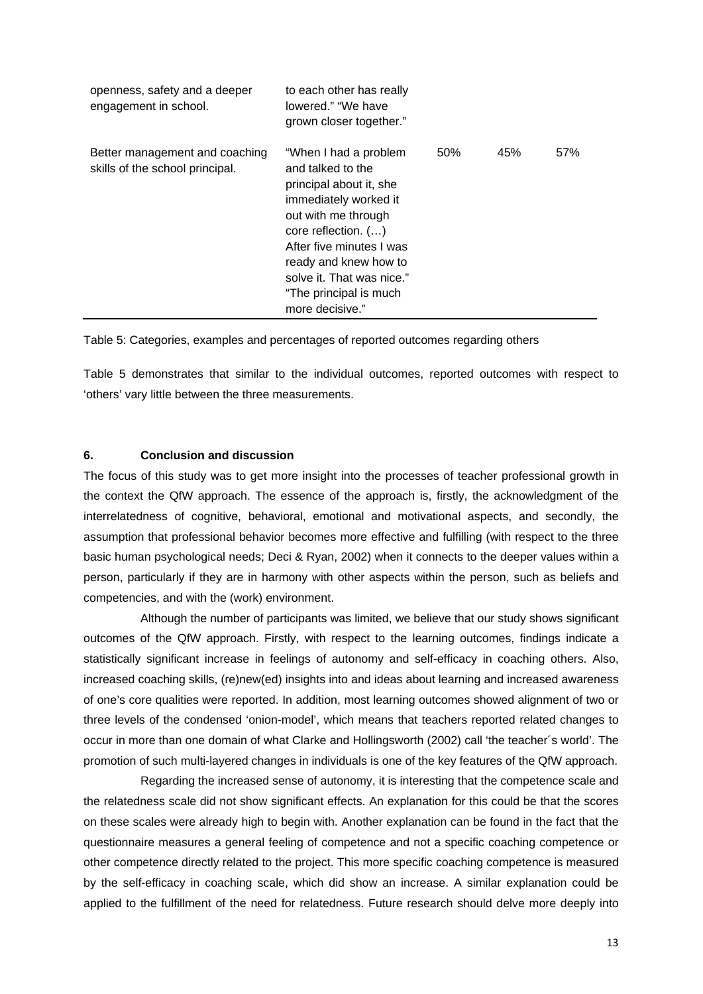| openness, safety and a deeper<br>engagement in school.            | to each other has really<br>lowered." "We have<br>grown closer together."                                                                                                                                                                                                   |     |     |     |
|-------------------------------------------------------------------|-----------------------------------------------------------------------------------------------------------------------------------------------------------------------------------------------------------------------------------------------------------------------------|-----|-----|-----|
| Better management and coaching<br>skills of the school principal. | "When I had a problem<br>and talked to the<br>principal about it, she<br>immediately worked it<br>out with me through<br>core reflection. ()<br>After five minutes I was<br>ready and knew how to<br>solve it. That was nice."<br>"The principal is much<br>more decisive." | 50% | 45% | 57% |

Table 5: Categories, examples and percentages of reported outcomes regarding others

Table 5 demonstrates that similar to the individual outcomes, reported outcomes with respect to 'others' vary little between the three measurements.

#### **6. Conclusion and discussion**

The focus of this study was to get more insight into the processes of teacher professional growth in the context the QfW approach. The essence of the approach is, firstly, the acknowledgment of the interrelatedness of cognitive, behavioral, emotional and motivational aspects, and secondly, the assumption that professional behavior becomes more effective and fulfilling (with respect to the three basic human psychological needs; Deci & Ryan, 2002) when it connects to the deeper values within a person, particularly if they are in harmony with other aspects within the person, such as beliefs and competencies, and with the (work) environment.

Although the number of participants was limited, we believe that our study shows significant outcomes of the QfW approach. Firstly, with respect to the learning outcomes, findings indicate a statistically significant increase in feelings of autonomy and self-efficacy in coaching others. Also, increased coaching skills, (re)new(ed) insights into and ideas about learning and increased awareness of one's core qualities were reported. In addition, most learning outcomes showed alignment of two or three levels of the condensed 'onion-model', which means that teachers reported related changes to occur in more than one domain of what Clarke and Hollingsworth (2002) call 'the teacher´s world'. The promotion of such multi-layered changes in individuals is one of the key features of the QfW approach.

 Regarding the increased sense of autonomy, it is interesting that the competence scale and the relatedness scale did not show significant effects. An explanation for this could be that the scores on these scales were already high to begin with. Another explanation can be found in the fact that the questionnaire measures a general feeling of competence and not a specific coaching competence or other competence directly related to the project. This more specific coaching competence is measured by the self-efficacy in coaching scale, which did show an increase. A similar explanation could be applied to the fulfillment of the need for relatedness. Future research should delve more deeply into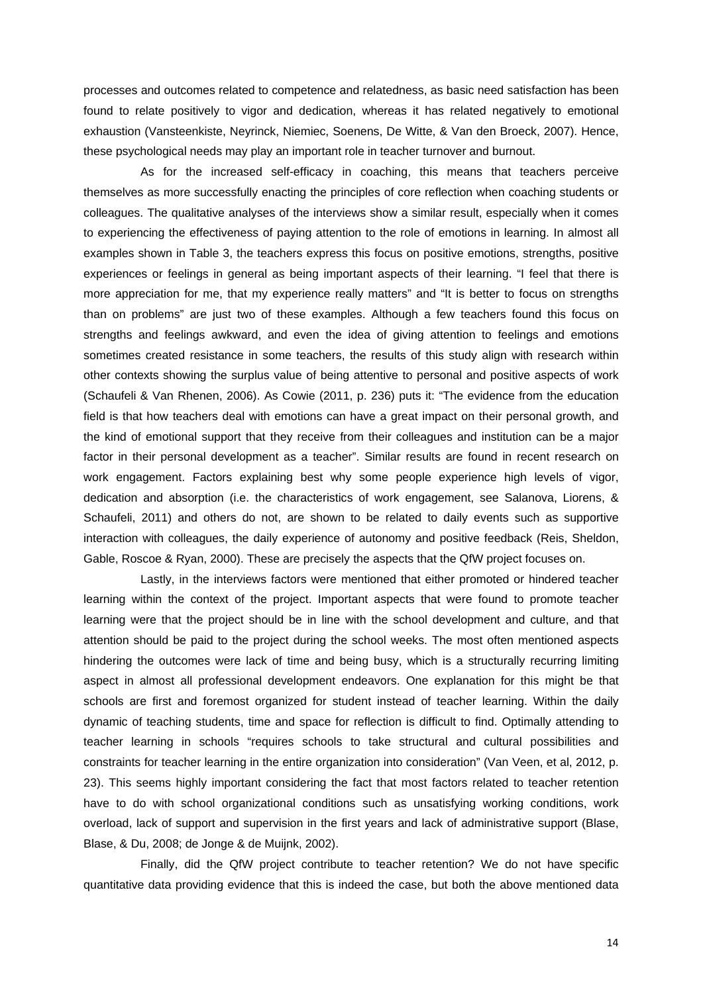processes and outcomes related to competence and relatedness, as basic need satisfaction has been found to relate positively to vigor and dedication, whereas it has related negatively to emotional exhaustion (Vansteenkiste, Neyrinck, Niemiec, Soenens, De Witte, & Van den Broeck, 2007). Hence, these psychological needs may play an important role in teacher turnover and burnout.

 As for the increased self-efficacy in coaching, this means that teachers perceive themselves as more successfully enacting the principles of core reflection when coaching students or colleagues. The qualitative analyses of the interviews show a similar result, especially when it comes to experiencing the effectiveness of paying attention to the role of emotions in learning. In almost all examples shown in Table 3, the teachers express this focus on positive emotions, strengths, positive experiences or feelings in general as being important aspects of their learning. "I feel that there is more appreciation for me, that my experience really matters" and "It is better to focus on strengths than on problems" are just two of these examples. Although a few teachers found this focus on strengths and feelings awkward, and even the idea of giving attention to feelings and emotions sometimes created resistance in some teachers, the results of this study align with research within other contexts showing the surplus value of being attentive to personal and positive aspects of work (Schaufeli & Van Rhenen, 2006). As Cowie (2011, p. 236) puts it: "The evidence from the education field is that how teachers deal with emotions can have a great impact on their personal growth, and the kind of emotional support that they receive from their colleagues and institution can be a major factor in their personal development as a teacher". Similar results are found in recent research on work engagement. Factors explaining best why some people experience high levels of vigor, dedication and absorption (i.e. the characteristics of work engagement, see Salanova, Liorens, & Schaufeli, 2011) and others do not, are shown to be related to daily events such as supportive interaction with colleagues, the daily experience of autonomy and positive feedback (Reis, Sheldon, Gable, Roscoe & Ryan, 2000). These are precisely the aspects that the QfW project focuses on.

 Lastly, in the interviews factors were mentioned that either promoted or hindered teacher learning within the context of the project. Important aspects that were found to promote teacher learning were that the project should be in line with the school development and culture, and that attention should be paid to the project during the school weeks. The most often mentioned aspects hindering the outcomes were lack of time and being busy, which is a structurally recurring limiting aspect in almost all professional development endeavors. One explanation for this might be that schools are first and foremost organized for student instead of teacher learning. Within the daily dynamic of teaching students, time and space for reflection is difficult to find. Optimally attending to teacher learning in schools "requires schools to take structural and cultural possibilities and constraints for teacher learning in the entire organization into consideration" (Van Veen, et al, 2012, p. 23). This seems highly important considering the fact that most factors related to teacher retention have to do with school organizational conditions such as unsatisfying working conditions, work overload, lack of support and supervision in the first years and lack of administrative support (Blase, Blase, & Du, 2008; de Jonge & de Muijnk, 2002).

 Finally, did the QfW project contribute to teacher retention? We do not have specific quantitative data providing evidence that this is indeed the case, but both the above mentioned data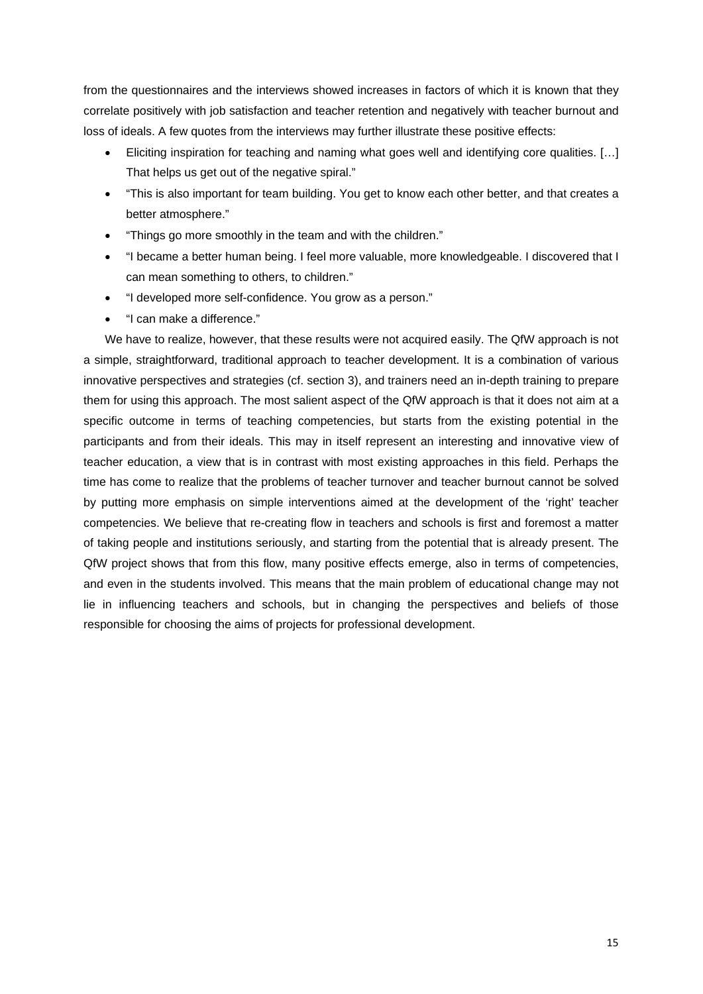from the questionnaires and the interviews showed increases in factors of which it is known that they correlate positively with job satisfaction and teacher retention and negatively with teacher burnout and loss of ideals. A few quotes from the interviews may further illustrate these positive effects:

- Eliciting inspiration for teaching and naming what goes well and identifying core qualities. […] That helps us get out of the negative spiral."
- "This is also important for team building. You get to know each other better, and that creates a better atmosphere."
- "Things go more smoothly in the team and with the children."
- "I became a better human being. I feel more valuable, more knowledgeable. I discovered that I can mean something to others, to children."
- "I developed more self-confidence. You grow as a person."
- "I can make a difference."

We have to realize, however, that these results were not acquired easily. The QfW approach is not a simple, straightforward, traditional approach to teacher development. It is a combination of various innovative perspectives and strategies (cf. section 3), and trainers need an in-depth training to prepare them for using this approach. The most salient aspect of the QfW approach is that it does not aim at a specific outcome in terms of teaching competencies, but starts from the existing potential in the participants and from their ideals. This may in itself represent an interesting and innovative view of teacher education, a view that is in contrast with most existing approaches in this field. Perhaps the time has come to realize that the problems of teacher turnover and teacher burnout cannot be solved by putting more emphasis on simple interventions aimed at the development of the 'right' teacher competencies. We believe that re-creating flow in teachers and schools is first and foremost a matter of taking people and institutions seriously, and starting from the potential that is already present. The QfW project shows that from this flow, many positive effects emerge, also in terms of competencies, and even in the students involved. This means that the main problem of educational change may not lie in influencing teachers and schools, but in changing the perspectives and beliefs of those responsible for choosing the aims of projects for professional development.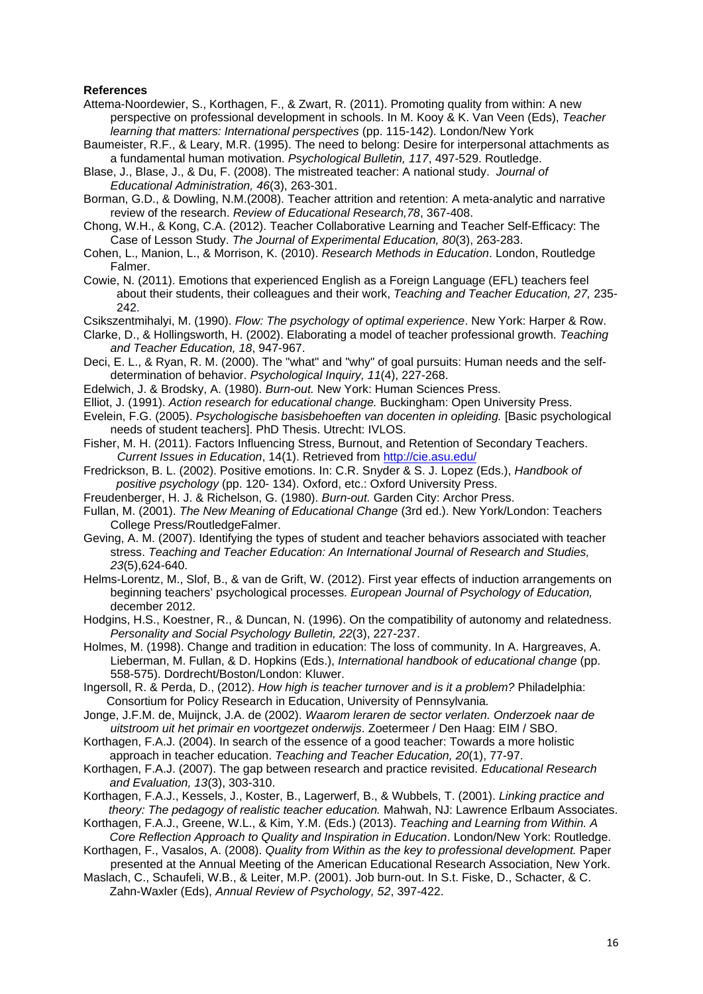#### **References**

- Attema-Noordewier, S., Korthagen, F., & Zwart, R. (2011). Promoting quality from within: A new perspective on professional development in schools. In M. Kooy & K. Van Veen (Eds), *Teacher learning that matters: International perspectives* (pp. 115-142). London/New York
- Baumeister, R.F., & Leary, M.R. (1995). The need to belong: Desire for interpersonal attachments as a fundamental human motivation. *Psychological Bulletin, 117*, 497-529. Routledge.
- Blase, J., Blase, J., & Du, F. (2008). The mistreated teacher: A national study. *Journal of Educational Administration, 46*(3), 263-301.
- Borman, G.D., & Dowling, N.M.(2008). Teacher attrition and retention: A meta-analytic and narrative review of the research. *Review of Educational Research,78*, 367-408.
- Chong, W.H., & Kong, C.A. (2012). Teacher Collaborative Learning and Teacher Self-Efficacy: The Case of Lesson Study. *The Journal of Experimental Education, 80*(3), 263-283.
- Cohen, L., Manion, L., & Morrison, K. (2010). *Research Methods in Education*. London, Routledge Falmer.
- Cowie, N. (2011). Emotions that experienced English as a Foreign Language (EFL) teachers feel about their students, their colleagues and their work, *Teaching and Teacher Education, 27,* 235- 242.

Csikszentmihalyi, M. (1990). *Flow: The psychology of optimal experience*. New York: Harper & Row.

- Clarke, D., & Hollingsworth, H. (2002). Elaborating a model of teacher professional growth. *Teaching and Teacher Education, 18*, 947-967.
- Deci, E. L., & Ryan, R. M. (2000). The "what" and "why" of goal pursuits: Human needs and the selfdetermination of behavior. *Psychological Inquiry, 11*(4), 227-268.
- Edelwich, J. & Brodsky, A. (1980). *Burn-out.* New York: Human Sciences Press.
- Elliot, J. (1991). *Action research for educational change.* Buckingham: Open University Press.
- Evelein, F.G. (2005). *Psychologische basisbehoeften van docenten in opleiding.* [Basic psychological needs of student teachers]. PhD Thesis. Utrecht: IVLOS.
- Fisher, M. H. (2011). Factors Influencing Stress, Burnout, and Retention of Secondary Teachers. *Current Issues in Education*, 14(1). Retrieved from http://cie.asu.edu/
- Fredrickson, B. L. (2002). Positive emotions. In: C.R. Snyder & S. J. Lopez (Eds.), *Handbook of positive psychology* (pp. 120- 134). Oxford, etc.: Oxford University Press.
- Freudenberger, H. J. & Richelson, G. (1980). *Burn-out.* Garden City: Archor Press.
- Fullan, M. (2001). *The New Meaning of Educational Change* (3rd ed.). New York/London: Teachers College Press/RoutledgeFalmer.
- Geving, A. M. (2007). Identifying the types of student and teacher behaviors associated with teacher stress. *Teaching and Teacher Education: An International Journal of Research and Studies, 23*(5),624-640.
- Helms-Lorentz, M., Slof, B., & van de Grift, W. (2012). First year effects of induction arrangements on beginning teachers' psychological processes. *European Journal of Psychology of Education,*  december 2012.
- Hodgins, H.S., Koestner, R., & Duncan, N. (1996). On the compatibility of autonomy and relatedness. *Personality and Social Psychology Bulletin, 22*(3), 227-237.
- Holmes, M. (1998). Change and tradition in education: The loss of community. In A. Hargreaves, A. Lieberman, M. Fullan, & D. Hopkins (Eds.), *International handbook of educational change* (pp. 558-575). Dordrecht/Boston/London: Kluwer.
- Ingersoll, R. & Perda, D., (2012). *How high is teacher turnover and is it a problem?* Philadelphia: Consortium for Policy Research in Education, University of Pennsylvania*.*
- Jonge, J.F.M. de, Muijnck, J.A. de (2002). *Waarom leraren de sector verlaten. Onderzoek naar de uitstroom uit het primair en voortgezet onderwijs*. Zoetermeer / Den Haag: EIM / SBO.
- Korthagen, F.A.J. (2004). In search of the essence of a good teacher: Towards a more holistic approach in teacher education. *Teaching and Teacher Education, 20*(1), 77-97.
- Korthagen, F.A.J. (2007). The gap between research and practice revisited. *Educational Research and Evaluation, 13*(3), 303-310.
- Korthagen, F.A.J., Kessels, J., Koster, B., Lagerwerf, B., & Wubbels, T. (2001). *Linking practice and theory: The pedagogy of realistic teacher education.* Mahwah, NJ: Lawrence Erlbaum Associates.
- Korthagen, F.A.J., Greene, W.L., & Kim, Y.M. (Eds.) (2013). *Teaching and Learning from Within. A Core Reflection Approach to Quality and Inspiration in Education*. London/New York: Routledge.

 Korthagen, F., Vasalos, A. (2008). *Quality from Within as the key to professional development.* Paper presented at the Annual Meeting of the American Educational Research Association, New York.

Maslach, C., Schaufeli, W.B., & Leiter, M.P. (2001). Job burn-out. In S.t. Fiske, D., Schacter, & C. Zahn-Waxler (Eds), *Annual Review of Psychology, 52*, 397-422.